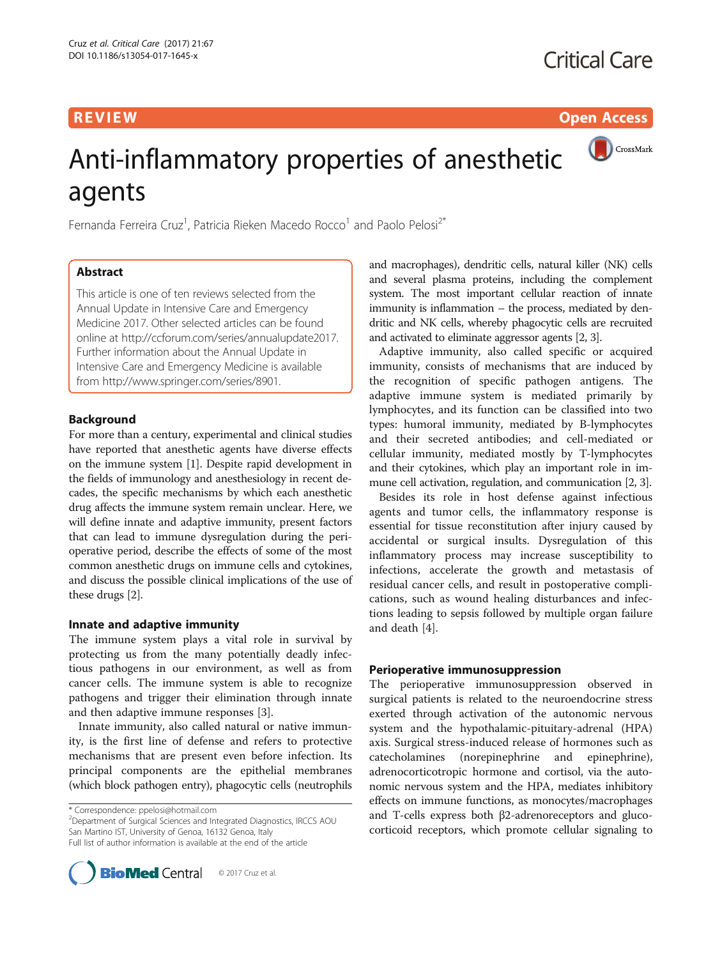# **REVIEW CONTROL** CONTROL CONTROL CONTROL CONTROL CONTROL CONTROL CONTROL CONTROL CONTROL CONTROL CONTROL CONTROL CONTROL CONTROL CONTROL CONTROL CONTROL CONTROL CONTROL CONTROL CONTROL CONTROL CONTROL CONTROL CONTROL CONTR



# Anti-inflammatory properties of anesthetic

agentalien<br>Fernanda Ferreira Cruz<sup>1</sup>, Patricia Rieken Macedo Rocco<sup>1</sup> and Paolo Pelosi<sup>2\*</sup>

# Abstract

This article is one of ten reviews selected from the Annual Update in Intensive Care and Emergency Medicine 2017. Other selected articles can be found online at [http://ccforum.com/series/annualupdate2017.](http://ccforum.com/series/annualupdate2017) Further information about the Annual Update in Intensive Care and Emergency Medicine is available from [http://www.springer.com/series/8901.](http://www.springer.com/series/8901)

# Background

For more than a century, experimental and clinical studies have reported that anesthetic agents have diverse effects on the immune system [[1\]](#page-6-0). Despite rapid development in the fields of immunology and anesthesiology in recent decades, the specific mechanisms by which each anesthetic drug affects the immune system remain unclear. Here, we will define innate and adaptive immunity, present factors that can lead to immune dysregulation during the perioperative period, describe the effects of some of the most common anesthetic drugs on immune cells and cytokines, and discuss the possible clinical implications of the use of these drugs [[2\]](#page-6-0).

# Innate and adaptive immunity

The immune system plays a vital role in survival by protecting us from the many potentially deadly infectious pathogens in our environment, as well as from cancer cells. The immune system is able to recognize pathogens and trigger their elimination through innate and then adaptive immune responses [\[3](#page-6-0)].

Innate immunity, also called natural or native immunity, is the first line of defense and refers to protective mechanisms that are present even before infection. Its principal components are the epithelial membranes (which block pathogen entry), phagocytic cells (neutrophils

Department of Surgical Sciences and Integrated Diagnostics, IRCCS AOU San Martino IST, University of Genoa, 16132 Genoa, Italy Full list of author information is available at the end of the article



and macrophages), dendritic cells, natural killer (NK) cells and several plasma proteins, including the complement system. The most important cellular reaction of innate immunity is inflammation – the process, mediated by dendritic and NK cells, whereby phagocytic cells are recruited and activated to eliminate aggressor agents [[2](#page-6-0), [3\]](#page-6-0).

Adaptive immunity, also called specific or acquired immunity, consists of mechanisms that are induced by the recognition of specific pathogen antigens. The adaptive immune system is mediated primarily by lymphocytes, and its function can be classified into two types: humoral immunity, mediated by B-lymphocytes and their secreted antibodies; and cell-mediated or cellular immunity, mediated mostly by T-lymphocytes and their cytokines, which play an important role in immune cell activation, regulation, and communication [[2](#page-6-0), [3\]](#page-6-0).

Besides its role in host defense against infectious agents and tumor cells, the inflammatory response is essential for tissue reconstitution after injury caused by accidental or surgical insults. Dysregulation of this inflammatory process may increase susceptibility to infections, accelerate the growth and metastasis of residual cancer cells, and result in postoperative complications, such as wound healing disturbances and infections leading to sepsis followed by multiple organ failure and death [\[4](#page-6-0)].

# Perioperative immunosuppression

The perioperative immunosuppression observed in surgical patients is related to the neuroendocrine stress exerted through activation of the autonomic nervous system and the hypothalamic-pituitary-adrenal (HPA) axis. Surgical stress-induced release of hormones such as catecholamines (norepinephrine and epinephrine), adrenocorticotropic hormone and cortisol, via the autonomic nervous system and the HPA, mediates inhibitory effects on immune functions, as monocytes/macrophages and T-cells express both β2-adrenoreceptors and glucocorticoid receptors, which promote cellular signaling to

<sup>\*</sup> Correspondence: [ppelosi@hotmail.com](mailto:ppelosi@hotmail.com) <sup>2</sup>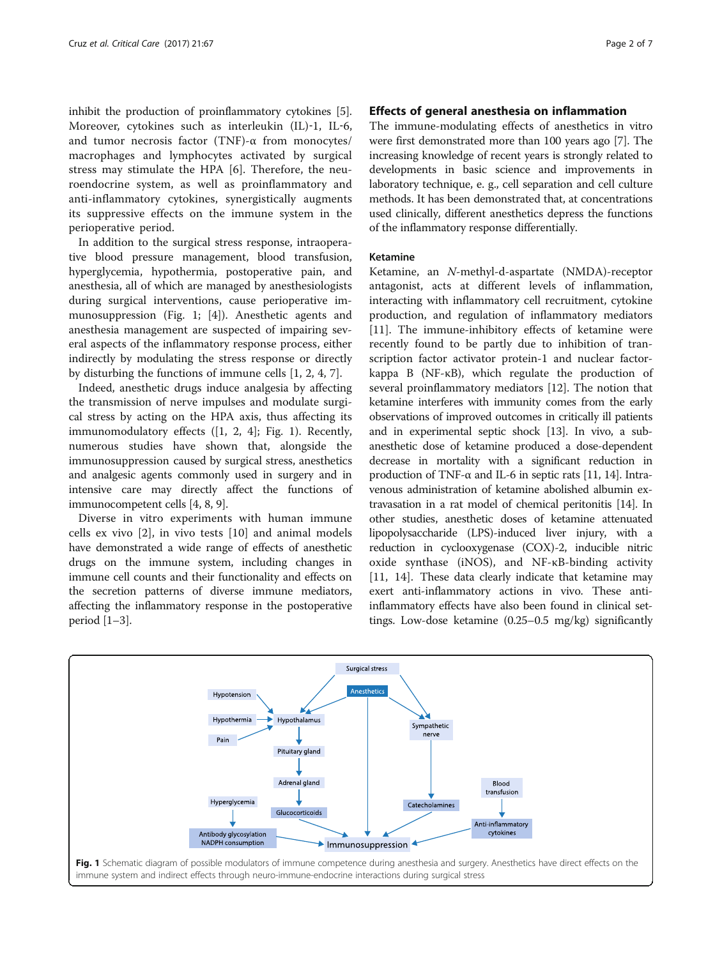inhibit the production of proinflammatory cytokines [[5](#page-6-0)]. Moreover, cytokines such as interleukin (IL)‐1, IL‐6, and tumor necrosis factor (TNF)-α from monocytes/ macrophages and lymphocytes activated by surgical stress may stimulate the HPA [\[6](#page-6-0)]. Therefore, the neuroendocrine system, as well as proinflammatory and anti-inflammatory cytokines, synergistically augments its suppressive effects on the immune system in the perioperative period.

In addition to the surgical stress response, intraoperative blood pressure management, blood transfusion, hyperglycemia, hypothermia, postoperative pain, and anesthesia, all of which are managed by anesthesiologists during surgical interventions, cause perioperative immunosuppression (Fig. 1; [[4\]](#page-6-0)). Anesthetic agents and anesthesia management are suspected of impairing several aspects of the inflammatory response process, either indirectly by modulating the stress response or directly by disturbing the functions of immune cells [\[1](#page-6-0), [2](#page-6-0), [4](#page-6-0), [7](#page-6-0)].

Indeed, anesthetic drugs induce analgesia by affecting the transmission of nerve impulses and modulate surgical stress by acting on the HPA axis, thus affecting its immunomodulatory effects ([[1](#page-6-0), [2](#page-6-0), [4](#page-6-0)]; Fig. 1). Recently, numerous studies have shown that, alongside the immunosuppression caused by surgical stress, anesthetics and analgesic agents commonly used in surgery and in intensive care may directly affect the functions of immunocompetent cells [\[4](#page-6-0), [8, 9](#page-6-0)].

Diverse in vitro experiments with human immune cells ex vivo [[2](#page-6-0)], in vivo tests [[10\]](#page-6-0) and animal models have demonstrated a wide range of effects of anesthetic drugs on the immune system, including changes in immune cell counts and their functionality and effects on the secretion patterns of diverse immune mediators, affecting the inflammatory response in the postoperative period [\[1](#page-6-0)–[3\]](#page-6-0).

# Effects of general anesthesia on inflammation

The immune-modulating effects of anesthetics in vitro were first demonstrated more than 100 years ago [[7](#page-6-0)]. The increasing knowledge of recent years is strongly related to developments in basic science and improvements in laboratory technique, e. g., cell separation and cell culture methods. It has been demonstrated that, at concentrations used clinically, different anesthetics depress the functions of the inflammatory response differentially.

# Ketamine

Ketamine, an N-methyl-d-aspartate (NMDA)-receptor antagonist, acts at different levels of inflammation, interacting with inflammatory cell recruitment, cytokine production, and regulation of inflammatory mediators [[11\]](#page-6-0). The immune-inhibitory effects of ketamine were recently found to be partly due to inhibition of transcription factor activator protein-1 and nuclear factorkappa B (NF-κB), which regulate the production of several proinflammatory mediators [[12\]](#page-6-0). The notion that ketamine interferes with immunity comes from the early observations of improved outcomes in critically ill patients and in experimental septic shock [\[13\]](#page-6-0). In vivo, a subanesthetic dose of ketamine produced a dose-dependent decrease in mortality with a significant reduction in production of TNF-α and IL-6 in septic rats [\[11, 14](#page-6-0)]. Intravenous administration of ketamine abolished albumin extravasation in a rat model of chemical peritonitis [[14](#page-6-0)]. In other studies, anesthetic doses of ketamine attenuated lipopolysaccharide (LPS)-induced liver injury, with a reduction in cyclooxygenase (COX)-2, inducible nitric oxide synthase (iNOS), and NF-κB-binding activity [[11, 14\]](#page-6-0). These data clearly indicate that ketamine may exert anti-inflammatory actions in vivo. These antiinflammatory effects have also been found in clinical settings. Low-dose ketamine (0.25–0.5 mg/kg) significantly

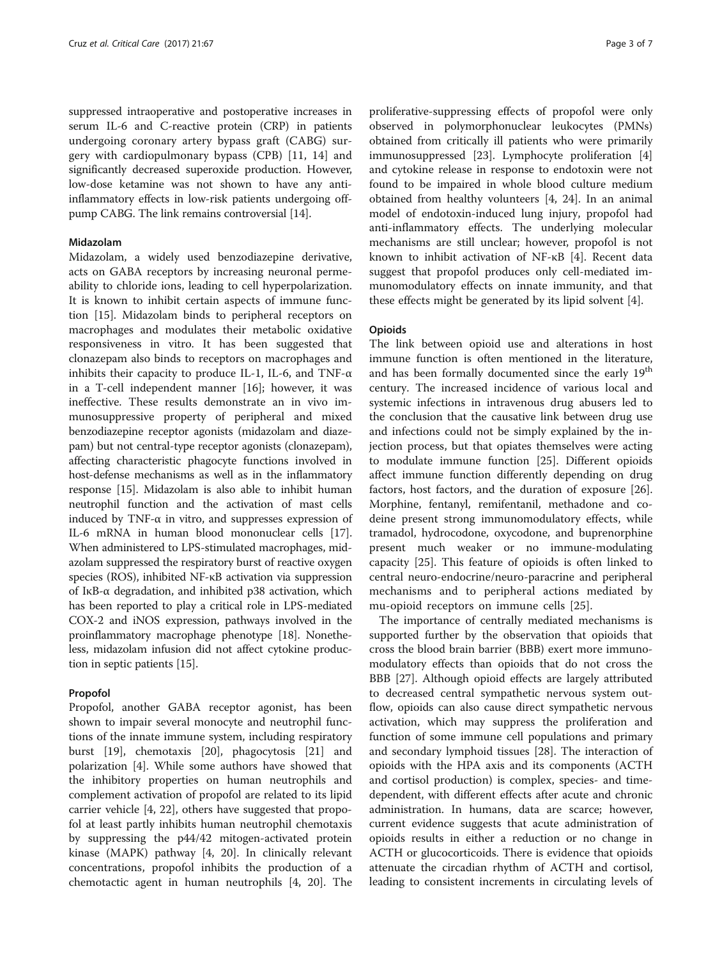suppressed intraoperative and postoperative increases in serum IL-6 and C-reactive protein (CRP) in patients undergoing coronary artery bypass graft (CABG) surgery with cardiopulmonary bypass (CPB) [[11, 14\]](#page-6-0) and significantly decreased superoxide production. However, low-dose ketamine was not shown to have any antiinflammatory effects in low-risk patients undergoing offpump CABG. The link remains controversial [\[14\]](#page-6-0).

# Midazolam

Midazolam, a widely used benzodiazepine derivative, acts on GABA receptors by increasing neuronal permeability to chloride ions, leading to cell hyperpolarization. It is known to inhibit certain aspects of immune function [[15\]](#page-6-0). Midazolam binds to peripheral receptors on macrophages and modulates their metabolic oxidative responsiveness in vitro. It has been suggested that clonazepam also binds to receptors on macrophages and inhibits their capacity to produce IL-1, IL-6, and TNF- $\alpha$ in a T-cell independent manner [\[16](#page-6-0)]; however, it was ineffective. These results demonstrate an in vivo immunosuppressive property of peripheral and mixed benzodiazepine receptor agonists (midazolam and diazepam) but not central-type receptor agonists (clonazepam), affecting characteristic phagocyte functions involved in host-defense mechanisms as well as in the inflammatory response [\[15\]](#page-6-0). Midazolam is also able to inhibit human neutrophil function and the activation of mast cells induced by TNF- $\alpha$  in vitro, and suppresses expression of IL-6 mRNA in human blood mononuclear cells [[17](#page-6-0)]. When administered to LPS-stimulated macrophages, midazolam suppressed the respiratory burst of reactive oxygen species (ROS), inhibited NF-κB activation via suppression of IκB-α degradation, and inhibited p38 activation, which has been reported to play a critical role in LPS-mediated COX-2 and iNOS expression, pathways involved in the proinflammatory macrophage phenotype [[18](#page-6-0)]. Nonetheless, midazolam infusion did not affect cytokine production in septic patients [[15](#page-6-0)].

# Propofol

Propofol, another GABA receptor agonist, has been shown to impair several monocyte and neutrophil functions of the innate immune system, including respiratory burst [[19\]](#page-6-0), chemotaxis [[20\]](#page-6-0), phagocytosis [[21\]](#page-6-0) and polarization [[4\]](#page-6-0). While some authors have showed that the inhibitory properties on human neutrophils and complement activation of propofol are related to its lipid carrier vehicle [[4](#page-6-0), [22\]](#page-6-0), others have suggested that propofol at least partly inhibits human neutrophil chemotaxis by suppressing the p44/42 mitogen-activated protein kinase (MAPK) pathway [[4, 20](#page-6-0)]. In clinically relevant concentrations, propofol inhibits the production of a chemotactic agent in human neutrophils [\[4](#page-6-0), [20\]](#page-6-0). The

proliferative-suppressing effects of propofol were only observed in polymorphonuclear leukocytes (PMNs) obtained from critically ill patients who were primarily immunosuppressed [\[23](#page-6-0)]. Lymphocyte proliferation [\[4](#page-6-0)] and cytokine release in response to endotoxin were not found to be impaired in whole blood culture medium obtained from healthy volunteers [[4, 24\]](#page-6-0). In an animal model of endotoxin-induced lung injury, propofol had anti-inflammatory effects. The underlying molecular mechanisms are still unclear; however, propofol is not known to inhibit activation of NF-κB [[4\]](#page-6-0). Recent data suggest that propofol produces only cell-mediated immunomodulatory effects on innate immunity, and that these effects might be generated by its lipid solvent [[4\]](#page-6-0).

# Opioids

The link between opioid use and alterations in host immune function is often mentioned in the literature, and has been formally documented since the early 19<sup>th</sup> century. The increased incidence of various local and systemic infections in intravenous drug abusers led to the conclusion that the causative link between drug use and infections could not be simply explained by the injection process, but that opiates themselves were acting to modulate immune function [[25\]](#page-6-0). Different opioids affect immune function differently depending on drug factors, host factors, and the duration of exposure [\[26](#page-6-0)]. Morphine, fentanyl, remifentanil, methadone and codeine present strong immunomodulatory effects, while tramadol, hydrocodone, oxycodone, and buprenorphine present much weaker or no immune-modulating capacity [\[25\]](#page-6-0). This feature of opioids is often linked to central neuro-endocrine/neuro-paracrine and peripheral mechanisms and to peripheral actions mediated by mu-opioid receptors on immune cells [[25\]](#page-6-0).

The importance of centrally mediated mechanisms is supported further by the observation that opioids that cross the blood brain barrier (BBB) exert more immunomodulatory effects than opioids that do not cross the BBB [\[27](#page-6-0)]. Although opioid effects are largely attributed to decreased central sympathetic nervous system outflow, opioids can also cause direct sympathetic nervous activation, which may suppress the proliferation and function of some immune cell populations and primary and secondary lymphoid tissues [[28\]](#page-6-0). The interaction of opioids with the HPA axis and its components (ACTH and cortisol production) is complex, species- and timedependent, with different effects after acute and chronic administration. In humans, data are scarce; however, current evidence suggests that acute administration of opioids results in either a reduction or no change in ACTH or glucocorticoids. There is evidence that opioids attenuate the circadian rhythm of ACTH and cortisol, leading to consistent increments in circulating levels of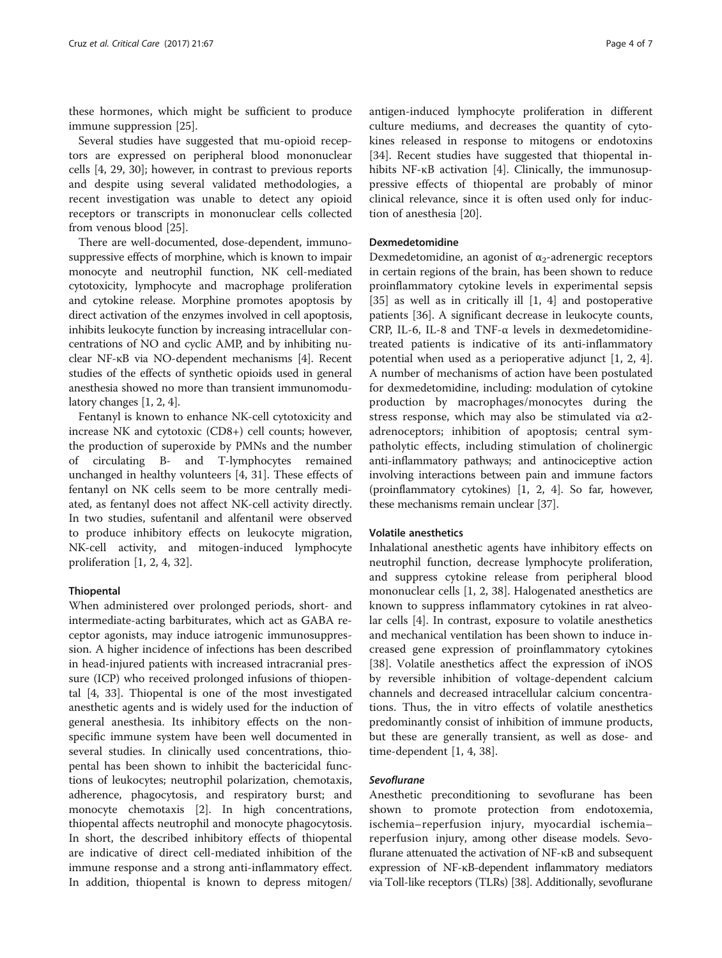these hormones, which might be sufficient to produce immune suppression [\[25\]](#page-6-0).

Several studies have suggested that mu-opioid receptors are expressed on peripheral blood mononuclear cells [[4, 29, 30](#page-6-0)]; however, in contrast to previous reports and despite using several validated methodologies, a recent investigation was unable to detect any opioid receptors or transcripts in mononuclear cells collected from venous blood [\[25\]](#page-6-0).

There are well-documented, dose-dependent, immunosuppressive effects of morphine, which is known to impair monocyte and neutrophil function, NK cell-mediated cytotoxicity, lymphocyte and macrophage proliferation and cytokine release. Morphine promotes apoptosis by direct activation of the enzymes involved in cell apoptosis, inhibits leukocyte function by increasing intracellular concentrations of NO and cyclic AMP, and by inhibiting nuclear NF-κB via NO-dependent mechanisms [[4](#page-6-0)]. Recent studies of the effects of synthetic opioids used in general anesthesia showed no more than transient immunomodulatory changes [[1](#page-6-0), [2](#page-6-0), [4](#page-6-0)].

Fentanyl is known to enhance NK-cell cytotoxicity and increase NK and cytotoxic (CD8+) cell counts; however, the production of superoxide by PMNs and the number of circulating B- and T-lymphocytes remained unchanged in healthy volunteers [\[4](#page-6-0), [31](#page-6-0)]. These effects of fentanyl on NK cells seem to be more centrally mediated, as fentanyl does not affect NK-cell activity directly. In two studies, sufentanil and alfentanil were observed to produce inhibitory effects on leukocyte migration, NK-cell activity, and mitogen-induced lymphocyte proliferation [\[1](#page-6-0), [2](#page-6-0), [4](#page-6-0), [32](#page-6-0)].

# **Thiopental**

When administered over prolonged periods, short- and intermediate-acting barbiturates, which act as GABA receptor agonists, may induce iatrogenic immunosuppression. A higher incidence of infections has been described in head-injured patients with increased intracranial pressure (ICP) who received prolonged infusions of thiopental [[4, 33](#page-6-0)]. Thiopental is one of the most investigated anesthetic agents and is widely used for the induction of general anesthesia. Its inhibitory effects on the nonspecific immune system have been well documented in several studies. In clinically used concentrations, thiopental has been shown to inhibit the bactericidal functions of leukocytes; neutrophil polarization, chemotaxis, adherence, phagocytosis, and respiratory burst; and monocyte chemotaxis [\[2](#page-6-0)]. In high concentrations, thiopental affects neutrophil and monocyte phagocytosis. In short, the described inhibitory effects of thiopental are indicative of direct cell-mediated inhibition of the immune response and a strong anti-inflammatory effect. In addition, thiopental is known to depress mitogen/ antigen-induced lymphocyte proliferation in different culture mediums, and decreases the quantity of cytokines released in response to mitogens or endotoxins [[34\]](#page-6-0). Recent studies have suggested that thiopental inhibits NF-κB activation [[4\]](#page-6-0). Clinically, the immunosuppressive effects of thiopental are probably of minor clinical relevance, since it is often used only for induction of anesthesia [[20](#page-6-0)].

# Dexmedetomidine

Dexmedetomidine, an agonist of  $\alpha_2$ -adrenergic receptors in certain regions of the brain, has been shown to reduce proinflammatory cytokine levels in experimental sepsis [[35\]](#page-6-0) as well as in critically ill [[1, 4](#page-6-0)] and postoperative patients [\[36](#page-6-0)]. A significant decrease in leukocyte counts, CRP, IL-6, IL-8 and TNF-α levels in dexmedetomidinetreated patients is indicative of its anti-inflammatory potential when used as a perioperative adjunct [[1, 2](#page-6-0), [4](#page-6-0)]. A number of mechanisms of action have been postulated for dexmedetomidine, including: modulation of cytokine production by macrophages/monocytes during the stress response, which may also be stimulated via  $\alpha$ 2adrenoceptors; inhibition of apoptosis; central sympatholytic effects, including stimulation of cholinergic anti-inflammatory pathways; and antinociceptive action involving interactions between pain and immune factors (proinflammatory cytokines) [\[1, 2](#page-6-0), [4\]](#page-6-0). So far, however, these mechanisms remain unclear [\[37\]](#page-6-0).

# Volatile anesthetics

Inhalational anesthetic agents have inhibitory effects on neutrophil function, decrease lymphocyte proliferation, and suppress cytokine release from peripheral blood mononuclear cells [[1, 2, 38\]](#page-6-0). Halogenated anesthetics are known to suppress inflammatory cytokines in rat alveolar cells [\[4](#page-6-0)]. In contrast, exposure to volatile anesthetics and mechanical ventilation has been shown to induce increased gene expression of proinflammatory cytokines [[38\]](#page-6-0). Volatile anesthetics affect the expression of iNOS by reversible inhibition of voltage-dependent calcium channels and decreased intracellular calcium concentrations. Thus, the in vitro effects of volatile anesthetics predominantly consist of inhibition of immune products, but these are generally transient, as well as dose- and time-dependent [[1](#page-6-0), [4](#page-6-0), [38](#page-6-0)].

# Sevoflurane

Anesthetic preconditioning to sevoflurane has been shown to promote protection from endotoxemia, ischemia–reperfusion injury, myocardial ischemia– reperfusion injury, among other disease models. Sevoflurane attenuated the activation of NF-κB and subsequent expression of NF-κB-dependent inflammatory mediators via Toll-like receptors (TLRs) [[38](#page-6-0)]. Additionally, sevoflurane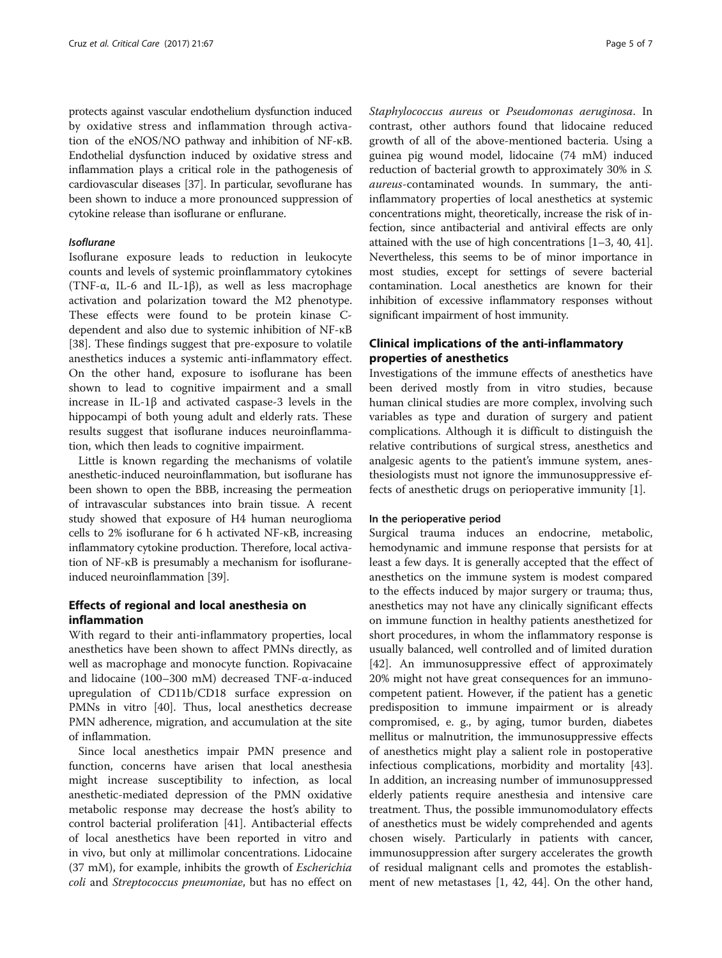protects against vascular endothelium dysfunction induced by oxidative stress and inflammation through activation of the eNOS/NO pathway and inhibition of NF-κB. Endothelial dysfunction induced by oxidative stress and inflammation plays a critical role in the pathogenesis of cardiovascular diseases [\[37\]](#page-6-0). In particular, sevoflurane has been shown to induce a more pronounced suppression of cytokine release than isoflurane or enflurane.

# Isoflurane

Isoflurane exposure leads to reduction in leukocyte counts and levels of systemic proinflammatory cytokines (TNF- $\alpha$ , IL-6 and IL-1 $\beta$ ), as well as less macrophage activation and polarization toward the M2 phenotype. These effects were found to be protein kinase Cdependent and also due to systemic inhibition of NF-κB [[38\]](#page-6-0). These findings suggest that pre-exposure to volatile anesthetics induces a systemic anti-inflammatory effect. On the other hand, exposure to isoflurane has been shown to lead to cognitive impairment and a small increase in IL-1β and activated caspase-3 levels in the hippocampi of both young adult and elderly rats. These results suggest that isoflurane induces neuroinflammation, which then leads to cognitive impairment.

Little is known regarding the mechanisms of volatile anesthetic-induced neuroinflammation, but isoflurane has been shown to open the BBB, increasing the permeation of intravascular substances into brain tissue. A recent study showed that exposure of H4 human neuroglioma cells to 2% isoflurane for 6 h activated NF-κB, increasing inflammatory cytokine production. Therefore, local activation of NF-κB is presumably a mechanism for isofluraneinduced neuroinflammation [\[39\]](#page-6-0).

# Effects of regional and local anesthesia on inflammation

With regard to their anti-inflammatory properties, local anesthetics have been shown to affect PMNs directly, as well as macrophage and monocyte function. Ropivacaine and lidocaine (100–300 mM) decreased TNF-α-induced upregulation of CD11b/CD18 surface expression on PMNs in vitro [\[40\]](#page-6-0). Thus, local anesthetics decrease PMN adherence, migration, and accumulation at the site of inflammation.

Since local anesthetics impair PMN presence and function, concerns have arisen that local anesthesia might increase susceptibility to infection, as local anesthetic-mediated depression of the PMN oxidative metabolic response may decrease the host's ability to control bacterial proliferation [[41\]](#page-6-0). Antibacterial effects of local anesthetics have been reported in vitro and in vivo, but only at millimolar concentrations. Lidocaine (37 mM), for example, inhibits the growth of Escherichia coli and Streptococcus pneumoniae, but has no effect on Staphylococcus aureus or Pseudomonas aeruginosa. In contrast, other authors found that lidocaine reduced growth of all of the above-mentioned bacteria. Using a guinea pig wound model, lidocaine (74 mM) induced reduction of bacterial growth to approximately 30% in S. aureus-contaminated wounds. In summary, the antiinflammatory properties of local anesthetics at systemic concentrations might, theoretically, increase the risk of infection, since antibacterial and antiviral effects are only attained with the use of high concentrations [[1](#page-6-0)–[3](#page-6-0), [40, 41](#page-6-0)]. Nevertheless, this seems to be of minor importance in most studies, except for settings of severe bacterial contamination. Local anesthetics are known for their inhibition of excessive inflammatory responses without significant impairment of host immunity.

# Clinical implications of the anti-inflammatory properties of anesthetics

Investigations of the immune effects of anesthetics have been derived mostly from in vitro studies, because human clinical studies are more complex, involving such variables as type and duration of surgery and patient complications. Although it is difficult to distinguish the relative contributions of surgical stress, anesthetics and analgesic agents to the patient's immune system, anesthesiologists must not ignore the immunosuppressive effects of anesthetic drugs on perioperative immunity [[1](#page-6-0)].

# In the perioperative period

Surgical trauma induces an endocrine, metabolic, hemodynamic and immune response that persists for at least a few days. It is generally accepted that the effect of anesthetics on the immune system is modest compared to the effects induced by major surgery or trauma; thus, anesthetics may not have any clinically significant effects on immune function in healthy patients anesthetized for short procedures, in whom the inflammatory response is usually balanced, well controlled and of limited duration [[42\]](#page-6-0). An immunosuppressive effect of approximately 20% might not have great consequences for an immunocompetent patient. However, if the patient has a genetic predisposition to immune impairment or is already compromised, e. g., by aging, tumor burden, diabetes mellitus or malnutrition, the immunosuppressive effects of anesthetics might play a salient role in postoperative infectious complications, morbidity and mortality [\[43](#page-6-0)]. In addition, an increasing number of immunosuppressed elderly patients require anesthesia and intensive care treatment. Thus, the possible immunomodulatory effects of anesthetics must be widely comprehended and agents chosen wisely. Particularly in patients with cancer, immunosuppression after surgery accelerates the growth of residual malignant cells and promotes the establishment of new metastases [\[1](#page-6-0), [42, 44](#page-6-0)]. On the other hand,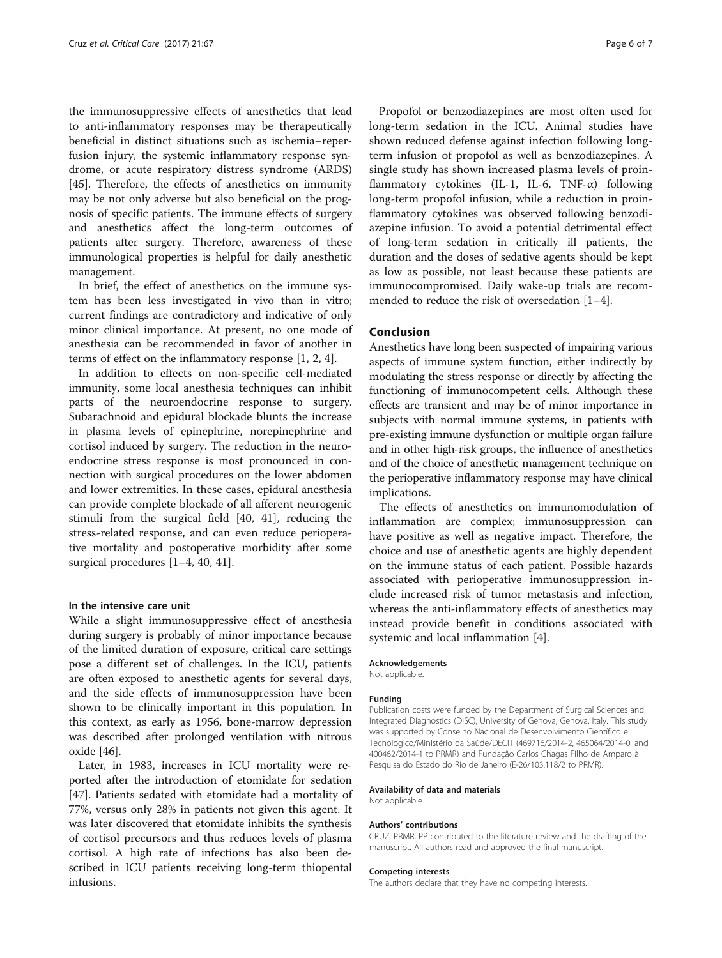the immunosuppressive effects of anesthetics that lead to anti-inflammatory responses may be therapeutically beneficial in distinct situations such as ischemia–reperfusion injury, the systemic inflammatory response syndrome, or acute respiratory distress syndrome (ARDS) [[45\]](#page-6-0). Therefore, the effects of anesthetics on immunity may be not only adverse but also beneficial on the prognosis of specific patients. The immune effects of surgery and anesthetics affect the long-term outcomes of patients after surgery. Therefore, awareness of these immunological properties is helpful for daily anesthetic management.

In brief, the effect of anesthetics on the immune system has been less investigated in vivo than in vitro; current findings are contradictory and indicative of only minor clinical importance. At present, no one mode of anesthesia can be recommended in favor of another in terms of effect on the inflammatory response [[1, 2, 4\]](#page-6-0).

In addition to effects on non-specific cell-mediated immunity, some local anesthesia techniques can inhibit parts of the neuroendocrine response to surgery. Subarachnoid and epidural blockade blunts the increase in plasma levels of epinephrine, norepinephrine and cortisol induced by surgery. The reduction in the neuroendocrine stress response is most pronounced in connection with surgical procedures on the lower abdomen and lower extremities. In these cases, epidural anesthesia can provide complete blockade of all afferent neurogenic stimuli from the surgical field [[40, 41](#page-6-0)], reducing the stress-related response, and can even reduce perioperative mortality and postoperative morbidity after some surgical procedures [\[1](#page-6-0)–[4](#page-6-0), [40, 41\]](#page-6-0).

#### In the intensive care unit

While a slight immunosuppressive effect of anesthesia during surgery is probably of minor importance because of the limited duration of exposure, critical care settings pose a different set of challenges. In the ICU, patients are often exposed to anesthetic agents for several days, and the side effects of immunosuppression have been shown to be clinically important in this population. In this context, as early as 1956, bone-marrow depression was described after prolonged ventilation with nitrous oxide [[46\]](#page-6-0).

Later, in 1983, increases in ICU mortality were reported after the introduction of etomidate for sedation [[47\]](#page-6-0). Patients sedated with etomidate had a mortality of 77%, versus only 28% in patients not given this agent. It was later discovered that etomidate inhibits the synthesis of cortisol precursors and thus reduces levels of plasma cortisol. A high rate of infections has also been described in ICU patients receiving long-term thiopental infusions.

Propofol or benzodiazepines are most often used for long-term sedation in the ICU. Animal studies have shown reduced defense against infection following longterm infusion of propofol as well as benzodiazepines. A single study has shown increased plasma levels of proinflammatory cytokines (IL-1, IL-6, TNF- $\alpha$ ) following long-term propofol infusion, while a reduction in proinflammatory cytokines was observed following benzodiazepine infusion. To avoid a potential detrimental effect of long-term sedation in critically ill patients, the duration and the doses of sedative agents should be kept as low as possible, not least because these patients are immunocompromised. Daily wake-up trials are recommended to reduce the risk of oversedation [\[1](#page-6-0)–[4](#page-6-0)].

# Conclusion

Anesthetics have long been suspected of impairing various aspects of immune system function, either indirectly by modulating the stress response or directly by affecting the functioning of immunocompetent cells. Although these effects are transient and may be of minor importance in subjects with normal immune systems, in patients with pre-existing immune dysfunction or multiple organ failure and in other high-risk groups, the influence of anesthetics and of the choice of anesthetic management technique on the perioperative inflammatory response may have clinical implications.

The effects of anesthetics on immunomodulation of inflammation are complex; immunosuppression can have positive as well as negative impact. Therefore, the choice and use of anesthetic agents are highly dependent on the immune status of each patient. Possible hazards associated with perioperative immunosuppression include increased risk of tumor metastasis and infection, whereas the anti-inflammatory effects of anesthetics may instead provide benefit in conditions associated with systemic and local inflammation [\[4](#page-6-0)].

#### Acknowledgements

Not applicable.

#### Funding

Publication costs were funded by the Department of Surgical Sciences and Integrated Diagnostics (DISC), University of Genova, Genova, Italy. This study was supported by Conselho Nacional de Desenvolvimento Científico e Tecnológico/Ministério da Saúde/DECIT (469716/2014-2, 465064/2014-0, and 400462/2014-1 to PRMR) and Fundação Carlos Chagas Filho de Amparo à Pesquisa do Estado do Rio de Janeiro (E-26/103.118/2 to PRMR).

#### Availability of data and materials

Not applicable.

#### Authors' contributions

CRUZ, PRMR, PP contributed to the literature review and the drafting of the manuscript. All authors read and approved the final manuscript.

#### Competing interests

The authors declare that they have no competing interests.